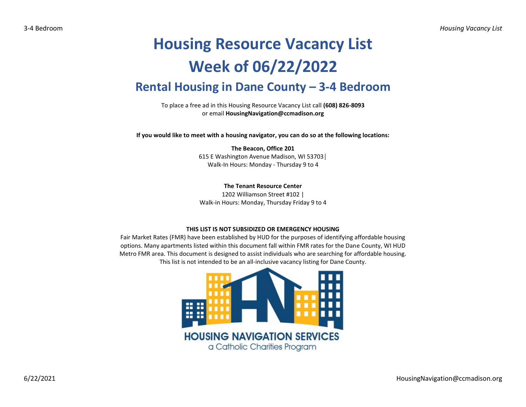## **Housing Resource Vacancy List Week of 06/22/2022 Rental Housing in Dane County – 3-4 Bedroom**

To place a free ad in this Housing Resource Vacancy List call **(608) 826-8093** or email **HousingNavigation@ccmadison.org**

**If you would like to meet with a housing navigator, you can do so at the following locations:**

**The Beacon, Office 201** 615 E Washington Avenue Madison, WI 53703│ Walk-In Hours: Monday - Thursday 9 to 4

**The Tenant Resource Center** 1202 Williamson Street #102 |

Walk-in Hours: Monday, Thursday Friday 9 to 4

## **THIS LIST IS NOT SUBSIDIZED OR EMERGENCY HOUSING**

Fair Market Rates (FMR) have been established by HUD for the purposes of identifying affordable housing options. Many apartments listed within this document fall within FMR rates for the Dane County, WI HUD Metro FMR area. This document is designed to assist individuals who are searching for affordable housing. This list is not intended to be an all-inclusive vacancy listing for Dane County.

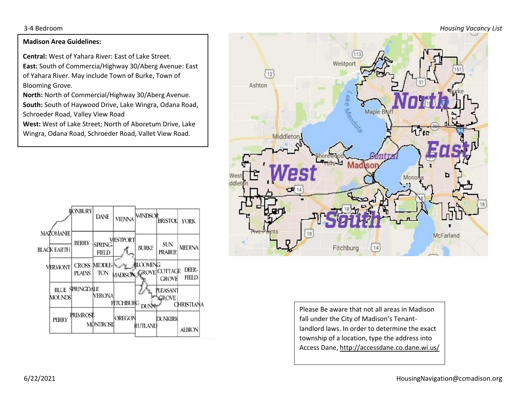3-4 Bedroom *Housing Vacancy List*

## **Madison Area Guidelines:**

**Central:** West of Yahara River: East of Lake Street. **East:** South of Commercia/Highway 30/Aberg Avenue: East of Yahara River. May include Town of Burke, Town of Blooming Grove.

**North:** North of Commercial/Highway 30/Aberg Avenue. **South:** South of Haywood Drive, Lake Wingra, Odana Road, Schroeder Road, Valley View Road

**West:** West of Lake Street; North of Aboretum Drive, Lake Wingra, Odana Road, Schroeder Road, Vallet View Road.





Please Be aware that not all areas in Madison fall under the City of Madison's Tenantlandlord laws. In order to determine the exact township of a location, type the address into Access Dane, http://accessdane.co.dane.wi.us/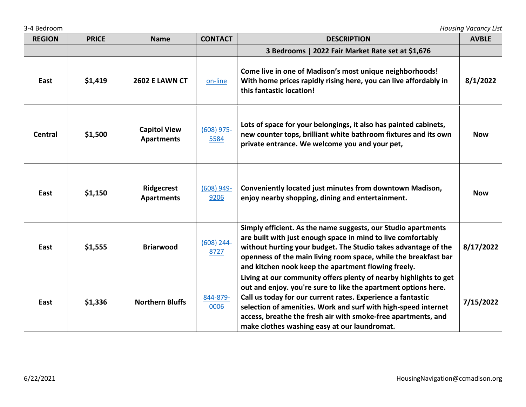| 3-4 Bedroom   |              |                                          |                      |                                                                                                                                                                                                                                                                                                                                                                                       | <b>Housing Vacancy List</b> |
|---------------|--------------|------------------------------------------|----------------------|---------------------------------------------------------------------------------------------------------------------------------------------------------------------------------------------------------------------------------------------------------------------------------------------------------------------------------------------------------------------------------------|-----------------------------|
| <b>REGION</b> | <b>PRICE</b> | <b>Name</b>                              | <b>CONTACT</b>       | <b>DESCRIPTION</b>                                                                                                                                                                                                                                                                                                                                                                    | <b>AVBLE</b>                |
|               |              |                                          |                      | 3 Bedrooms   2022 Fair Market Rate set at \$1,676                                                                                                                                                                                                                                                                                                                                     |                             |
| East          | \$1,419      | <b>2602 E LAWN CT</b>                    | on-line              | Come live in one of Madison's most unique neighborhoods!<br>With home prices rapidly rising here, you can live affordably in<br>this fantastic location!                                                                                                                                                                                                                              | 8/1/2022                    |
| Central       | \$1,500      | <b>Capitol View</b><br><b>Apartments</b> | $(608)$ 975-<br>5584 | Lots of space for your belongings, it also has painted cabinets,<br>new counter tops, brilliant white bathroom fixtures and its own<br>private entrance. We welcome you and your pet,                                                                                                                                                                                                 | <b>Now</b>                  |
| East          | \$1,150      | Ridgecrest<br><b>Apartments</b>          | $(608)$ 949-<br>9206 | Conveniently located just minutes from downtown Madison,<br>enjoy nearby shopping, dining and entertainment.                                                                                                                                                                                                                                                                          | <b>Now</b>                  |
| East          | \$1,555      | <b>Briarwood</b>                         | $(608)$ 244-<br>8727 | Simply efficient. As the name suggests, our Studio apartments<br>are built with just enough space in mind to live comfortably<br>without hurting your budget. The Studio takes advantage of the<br>openness of the main living room space, while the breakfast bar<br>and kitchen nook keep the apartment flowing freely.                                                             | 8/17/2022                   |
| East          | \$1,336      | <b>Northern Bluffs</b>                   | 844-879-<br>0006     | Living at our community offers plenty of nearby highlights to get<br>out and enjoy. you're sure to like the apartment options here.<br>Call us today for our current rates. Experience a fantastic<br>selection of amenities. Work and surf with high-speed internet<br>access, breathe the fresh air with smoke-free apartments, and<br>make clothes washing easy at our laundromat. | 7/15/2022                   |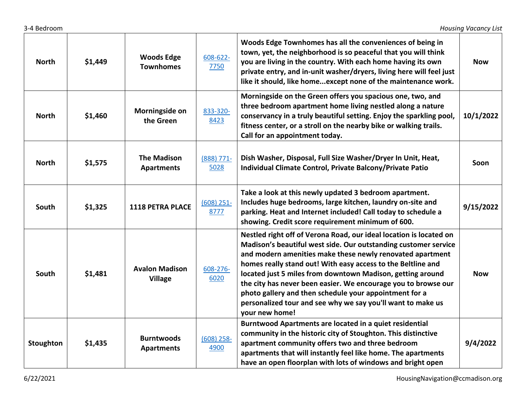| <b>North</b> | \$1,449 | <b>Woods Edge</b><br><b>Townhomes</b>   | $608 - 622 -$<br>7750 | Woods Edge Townhomes has all the conveniences of being in<br>town, yet, the neighborhood is so peaceful that you will think<br>you are living in the country. With each home having its own<br>private entry, and in-unit washer/dryers, living here will feel just<br>like it should, like homeexcept none of the maintenance work.                                                                                                                                                                                                          | <b>Now</b> |
|--------------|---------|-----------------------------------------|-----------------------|-----------------------------------------------------------------------------------------------------------------------------------------------------------------------------------------------------------------------------------------------------------------------------------------------------------------------------------------------------------------------------------------------------------------------------------------------------------------------------------------------------------------------------------------------|------------|
| <b>North</b> | \$1,460 | Morningside on<br>the Green             | 833-320-<br>8423      | Morningside on the Green offers you spacious one, two, and<br>three bedroom apartment home living nestled along a nature<br>conservancy in a truly beautiful setting. Enjoy the sparkling pool,<br>fitness center, or a stroll on the nearby bike or walking trails.<br>Call for an appointment today.                                                                                                                                                                                                                                        | 10/1/2022  |
| <b>North</b> | \$1,575 | <b>The Madison</b><br><b>Apartments</b> | $(888) 771 -$<br>5028 | Dish Washer, Disposal, Full Size Washer/Dryer In Unit, Heat,<br>Individual Climate Control, Private Balcony/Private Patio                                                                                                                                                                                                                                                                                                                                                                                                                     | Soon       |
| South        | \$1,325 | 1118 PETRA PLACE                        | $(608)$ 251-<br>8777  | Take a look at this newly updated 3 bedroom apartment.<br>Includes huge bedrooms, large kitchen, laundry on-site and<br>parking. Heat and Internet included! Call today to schedule a<br>showing. Credit score requirement minimum of 600.                                                                                                                                                                                                                                                                                                    | 9/15/2022  |
| South        | \$1,481 | <b>Avalon Madison</b><br><b>Village</b> | 608-276-<br>6020      | Nestled right off of Verona Road, our ideal location is located on<br>Madison's beautiful west side. Our outstanding customer service<br>and modern amenities make these newly renovated apartment<br>homes really stand out! With easy access to the Beltline and<br>located just 5 miles from downtown Madison, getting around<br>the city has never been easier. We encourage you to browse our<br>photo gallery and then schedule your appointment for a<br>personalized tour and see why we say you'll want to make us<br>your new home! | <b>Now</b> |
| Stoughton    | \$1,435 | <b>Burntwoods</b><br><b>Apartments</b>  | $(608)$ 258-<br>4900  | Burntwood Apartments are located in a quiet residential<br>community in the historic city of Stoughton. This distinctive<br>apartment community offers two and three bedroom<br>apartments that will instantly feel like home. The apartments<br>have an open floorplan with lots of windows and bright open                                                                                                                                                                                                                                  | 9/4/2022   |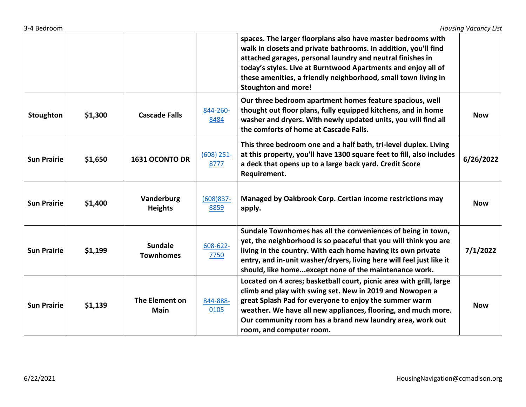| 3-4 Bedroom |  |
|-------------|--|
|             |  |

|                    |         |                                    |                      | spaces. The larger floorplans also have master bedrooms with<br>walk in closets and private bathrooms. In addition, you'll find<br>attached garages, personal laundry and neutral finishes in<br>today's styles. Live at Burntwood Apartments and enjoy all of<br>these amenities, a friendly neighborhood, small town living in<br><b>Stoughton and more!</b> |            |
|--------------------|---------|------------------------------------|----------------------|----------------------------------------------------------------------------------------------------------------------------------------------------------------------------------------------------------------------------------------------------------------------------------------------------------------------------------------------------------------|------------|
| Stoughton          | \$1,300 | <b>Cascade Falls</b>               | 844-260-<br>8484     | Our three bedroom apartment homes feature spacious, well<br>thought out floor plans, fully equipped kitchens, and in home<br>washer and dryers. With newly updated units, you will find all<br>the comforts of home at Cascade Falls.                                                                                                                          | <b>Now</b> |
| <b>Sun Prairie</b> | \$1,650 | 1631 OCONTO DR                     | $(608)$ 251-<br>8777 | This three bedroom one and a half bath, tri-level duplex. Living<br>at this property, you'll have 1300 square feet to fill, also includes<br>a deck that opens up to a large back yard. Credit Score<br>Requirement.                                                                                                                                           | 6/26/2022  |
| <b>Sun Prairie</b> | \$1,400 | Vanderburg<br><b>Heights</b>       | $(608)837 -$<br>8859 | Managed by Oakbrook Corp. Certian income restrictions may<br>apply.                                                                                                                                                                                                                                                                                            | <b>Now</b> |
| <b>Sun Prairie</b> | \$1,199 | <b>Sundale</b><br><b>Townhomes</b> | 608-622-<br>7750     | Sundale Townhomes has all the conveniences of being in town,<br>yet, the neighborhood is so peaceful that you will think you are<br>living in the country. With each home having its own private<br>entry, and in-unit washer/dryers, living here will feel just like it<br>should, like homeexcept none of the maintenance work.                              | 7/1/2022   |
| <b>Sun Prairie</b> | \$1,139 | The Element on<br><b>Main</b>      | 844-888-<br>0105     | Located on 4 acres; basketball court, picnic area with grill, large<br>climb and play with swing set. New in 2019 and Nowopen a<br>great Splash Pad for everyone to enjoy the summer warm<br>weather. We have all new appliances, flooring, and much more.<br>Our community room has a brand new laundry area, work out<br>room, and computer room.            | <b>Now</b> |